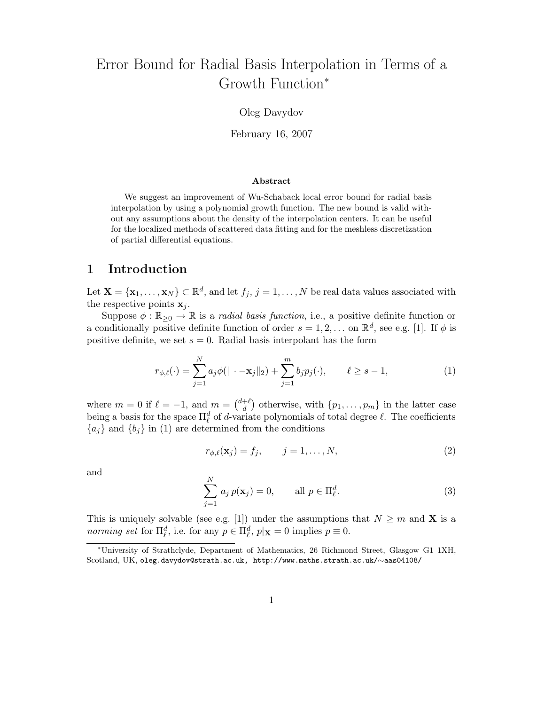# Error Bound for Radial Basis Interpolation in Terms of a Growth Function<sup>∗</sup>

#### Oleg Davydov

February 16, 2007

#### Abstract

We suggest an improvement of Wu-Schaback local error bound for radial basis interpolation by using a polynomial growth function. The new bound is valid without any assumptions about the density of the interpolation centers. It can be useful for the localized methods of scattered data fitting and for the meshless discretization of partial differential equations.

# 1 Introduction

Let  $\mathbf{X} = \{\mathbf{x}_1, \dots, \mathbf{x}_N\} \subset \mathbb{R}^d$ , and let  $f_j$ ,  $j = 1, \dots, N$  be real data values associated with the respective points  $x_i$ .

Suppose  $\phi : \mathbb{R}_{\geq 0} \to \mathbb{R}$  is a *radial basis function*, i.e., a positive definite function or a conditionally positive definite function of order  $s = 1, 2, ...$  on  $\mathbb{R}^d$ , see e.g. [1]. If  $\phi$  is positive definite, we set  $s = 0$ . Radial basis interpolant has the form

$$
r_{\phi,\ell}(\cdot) = \sum_{j=1}^{N} a_j \phi(||\cdot - \mathbf{x}_j||_2) + \sum_{j=1}^{m} b_j p_j(\cdot), \qquad \ell \ge s - 1,
$$
 (1)

where  $m = 0$  if  $\ell = -1$ , and  $m = \begin{pmatrix} d+\ell \\ d \end{pmatrix}$  $\binom{+e}{d}$  otherwise, with  $\{p_1, \ldots, p_m\}$  in the latter case being a basis for the space  $\Pi_{\ell}^d$  of d-variate polynomials of total degree  $\ell$ . The coefficients  ${a_j}$  and  ${b_j}$  in (1) are determined from the conditions

$$
r_{\phi,\ell}(\mathbf{x}_j) = f_j, \qquad j = 1,\dots,N,\tag{2}
$$

and

$$
\sum_{j=1}^{N} a_j p(\mathbf{x}_j) = 0, \qquad \text{all } p \in \Pi_{\ell}^d.
$$
 (3)

This is uniquely solvable (see e.g. [1]) under the assumptions that  $N \geq m$  and **X** is a norming set for  $\Pi_{\ell}^d$ , i.e. for any  $p \in \Pi_{\ell}^d$ ,  $p|\mathbf{x}=0$  implies  $p \equiv 0$ .

<sup>∗</sup>University of Strathclyde, Department of Mathematics, 26 Richmond Street, Glasgow G1 1XH, Scotland, UK, oleg.davydov@strath.ac.uk, http://www.maths.strath.ac.uk/∼aas04108/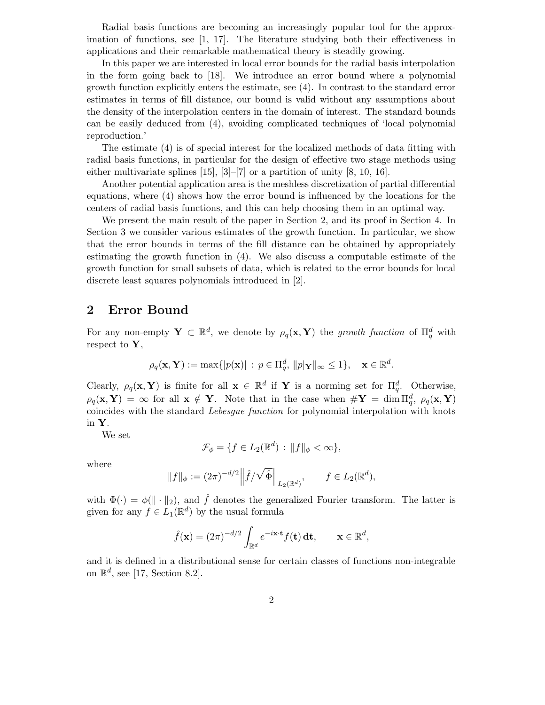Radial basis functions are becoming an increasingly popular tool for the approximation of functions, see [1, 17]. The literature studying both their effectiveness in applications and their remarkable mathematical theory is steadily growing.

In this paper we are interested in local error bounds for the radial basis interpolation in the form going back to [18]. We introduce an error bound where a polynomial growth function explicitly enters the estimate, see (4). In contrast to the standard error estimates in terms of fill distance, our bound is valid without any assumptions about the density of the interpolation centers in the domain of interest. The standard bounds can be easily deduced from (4), avoiding complicated techniques of 'local polynomial reproduction.'

The estimate (4) is of special interest for the localized methods of data fitting with radial basis functions, in particular for the design of effective two stage methods using either multivariate splines [15], [3]–[7] or a partition of unity [8, 10, 16].

Another potential application area is the meshless discretization of partial differential equations, where (4) shows how the error bound is influenced by the locations for the centers of radial basis functions, and this can help choosing them in an optimal way.

We present the main result of the paper in Section 2, and its proof in Section 4. In Section 3 we consider various estimates of the growth function. In particular, we show that the error bounds in terms of the fill distance can be obtained by appropriately estimating the growth function in (4). We also discuss a computable estimate of the growth function for small subsets of data, which is related to the error bounds for local discrete least squares polynomials introduced in [2].

#### 2 Error Bound

For any non-empty  $\mathbf{Y} \subset \mathbb{R}^d$ , we denote by  $\rho_q(\mathbf{x}, \mathbf{Y})$  the growth function of  $\Pi_q^d$  with respect to  $\mathbf{Y},$ 

$$
\rho_q(\mathbf{x}, \mathbf{Y}) := \max\{|p(\mathbf{x})| : p \in \Pi_q^d, ||p|\mathbf{Y}||_{\infty} \le 1\}, \quad \mathbf{x} \in \mathbb{R}^d.
$$

Clearly,  $\rho_q(\mathbf{x}, \mathbf{Y})$  is finite for all  $\mathbf{x} \in \mathbb{R}^d$  if **Y** is a norming set for  $\Pi_q^d$ . Otherwise,  $\rho_q(\mathbf{x}, \mathbf{Y}) = \infty$  for all  $\mathbf{x} \notin \mathbf{Y}$ . Note that in the case when  $\#\mathbf{Y} = \dim \Pi_q^d$ ,  $\rho_q(\mathbf{x}, \mathbf{Y})$ coincides with the standard Lebesgue function for polynomial interpolation with knots in Y.

We set

$$
\mathcal{F}_{\phi} = \{ f \in L_2(\mathbb{R}^d) : ||f||_{\phi} < \infty \},\
$$

where

$$
||f||_{\phi} := (2\pi)^{-d/2} ||\hat{f}/\sqrt{\hat{\Phi}}||_{L_2(\mathbb{R}^d)}, \qquad f \in L_2(\mathbb{R}^d),
$$

with  $\Phi(\cdot) = \phi(\|\cdot\|_2)$ , and  $\hat{f}$  denotes the generalized Fourier transform. The latter is given for any  $f \in L_1(\mathbb{R}^d)$  by the usual formula

$$
\hat{f}(\mathbf{x}) = (2\pi)^{-d/2} \int_{\mathbb{R}^d} e^{-i\mathbf{x} \cdot \mathbf{t}} f(\mathbf{t}) \, \mathbf{dt}, \qquad \mathbf{x} \in \mathbb{R}^d,
$$

and it is defined in a distributional sense for certain classes of functions non-integrable on  $\mathbb{R}^d$ , see [17, Section 8.2].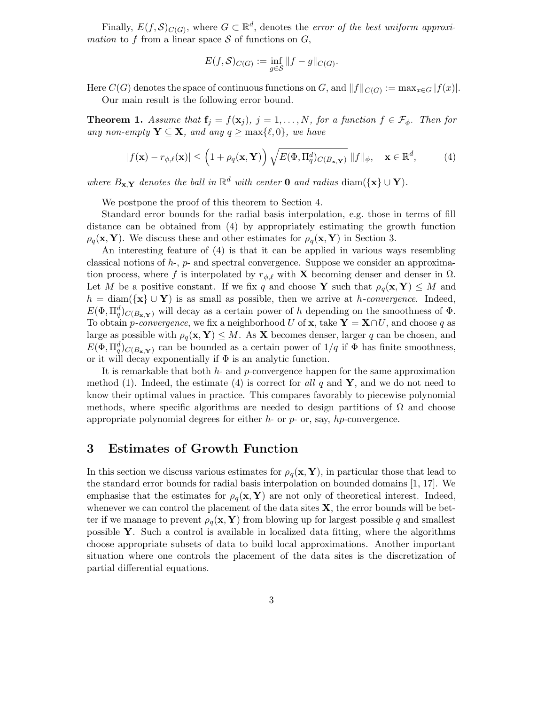Finally,  $E(f, S)_{C(G)}$ , where  $G \subset \mathbb{R}^d$ , denotes the *error of the best uniform approxi*mation to f from a linear space  $S$  of functions on  $G$ ,

$$
E(f,\mathcal{S})_{C(G)} := \inf_{g \in \mathcal{S}} ||f - g||_{C(G)}.
$$

Here  $C(G)$  denotes the space of continuous functions on G, and  $||f||_{C(G)} := \max_{x \in G} |f(x)|$ . Our main result is the following error bound.

**Theorem 1.** Assume that  $\mathbf{f}_j = f(\mathbf{x}_j)$ ,  $j = 1, ..., N$ , for a function  $f \in \mathcal{F}_\phi$ . Then for any non-empty  $\mathbf{Y} \subseteq \mathbf{X}$ , and any  $q \ge \max\{\ell, 0\}$ , we have

$$
|f(\mathbf{x}) - r_{\phi,\ell}(\mathbf{x})| \le \left(1 + \rho_q(\mathbf{x}, \mathbf{Y})\right) \sqrt{E(\Phi, \Pi_q^d)_{C(B_{\mathbf{x}, \mathbf{Y}})}} \|f\|_{\phi}, \quad \mathbf{x} \in \mathbb{R}^d,
$$
 (4)

where  $B_{\mathbf{x},\mathbf{Y}}$  denotes the ball in  $\mathbb{R}^d$  with center **0** and radius diam({**x**}  $\cup$  **Y**).

We postpone the proof of this theorem to Section 4.

Standard error bounds for the radial basis interpolation, e.g. those in terms of fill distance can be obtained from (4) by appropriately estimating the growth function  $\rho_q(\mathbf{x}, \mathbf{Y})$ . We discuss these and other estimates for  $\rho_q(\mathbf{x}, \mathbf{Y})$  in Section 3.

An interesting feature of (4) is that it can be applied in various ways resembling classical notions of  $h$ -,  $p$ - and spectral convergence. Suppose we consider an approximation process, where f is interpolated by  $r_{\phi,\ell}$  with X becoming denser and denser in  $\Omega$ . Let M be a positive constant. If we fix q and choose Y such that  $\rho_q(\mathbf{x}, Y) \leq M$  and  $h = \text{diam}(\{\mathbf{x}\} \cup \mathbf{Y})$  is as small as possible, then we arrive at h-convergence. Indeed,  $E(\Phi, \Pi_q^d)_{C(B_{\mathbf{x},\mathbf{Y}})}$  will decay as a certain power of h depending on the smoothness of  $\Phi$ . To obtain *p-convergence*, we fix a neighborhood U of **x**, take  $\mathbf{Y} = \mathbf{X} \cap U$ , and choose q as large as possible with  $\rho_q(\mathbf{x}, \mathbf{Y}) \leq M$ . As **X** becomes denser, larger q can be chosen, and  $E(\Phi, \Pi_q^d)_{C(B_{\mathbf{x},\mathbf{Y}})}$  can be bounded as a certain power of  $1/q$  if  $\Phi$  has finite smoothness, or it will decay exponentially if  $\Phi$  is an analytic function.

It is remarkable that both  $h$ - and  $p$ -convergence happen for the same approximation method (1). Indeed, the estimate (4) is correct for all q and  $\mathbf{Y}$ , and we do not need to know their optimal values in practice. This compares favorably to piecewise polynomial methods, where specific algorithms are needed to design partitions of  $\Omega$  and choose appropriate polynomial degrees for either  $h$ - or  $p$ - or, say,  $hp$ -convergence.

### 3 Estimates of Growth Function

In this section we discuss various estimates for  $\rho_q(\mathbf{x}, \mathbf{Y})$ , in particular those that lead to the standard error bounds for radial basis interpolation on bounded domains [1, 17]. We emphasise that the estimates for  $\rho_q(\mathbf{x}, \mathbf{Y})$  are not only of theoretical interest. Indeed, whenever we can control the placement of the data sites  $X$ , the error bounds will be better if we manage to prevent  $\rho_q(\mathbf{x}, \mathbf{Y})$  from blowing up for largest possible q and smallest possible  $\mathbf{Y}$ . Such a control is available in localized data fitting, where the algorithms choose appropriate subsets of data to build local approximations. Another important situation where one controls the placement of the data sites is the discretization of partial differential equations.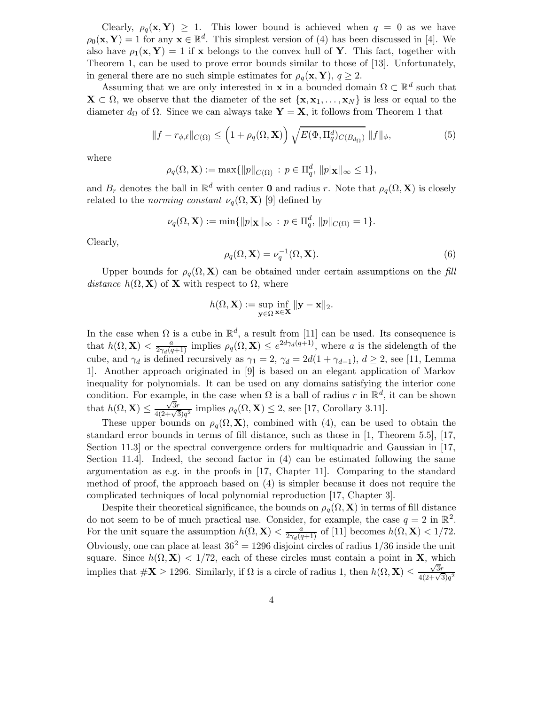Clearly,  $\rho_q(\mathbf{x}, \mathbf{Y}) \geq 1$ . This lower bound is achieved when  $q = 0$  as we have  $\rho_0(\mathbf{x}, \mathbf{Y}) = 1$  for any  $\mathbf{x} \in \mathbb{R}^d$ . This simplest version of (4) has been discussed in [4]. We also have  $\rho_1(\mathbf{x}, \mathbf{Y}) = 1$  if x belongs to the convex hull of Y. This fact, together with Theorem 1, can be used to prove error bounds similar to those of [13]. Unfortunately, in general there are no such simple estimates for  $\rho_q(\mathbf{x}, \mathbf{Y}), q \geq 2$ .

Assuming that we are only interested in **x** in a bounded domain  $\Omega \subset \mathbb{R}^d$  such that  $\mathbf{X} \subset \Omega$ , we observe that the diameter of the set  $\{\mathbf{x}, \mathbf{x}_1, \dots, \mathbf{x}_N\}$  is less or equal to the diameter  $d_{\Omega}$  of  $\Omega$ . Since we can always take  $\mathbf{Y} = \mathbf{X}$ , it follows from Theorem 1 that

$$
||f - r_{\phi,\ell}||_{C(\Omega)} \le \left(1 + \rho_q(\Omega, \mathbf{X})\right) \sqrt{E(\Phi, \Pi_q^d)_{C(B_{d_{\Omega}})}} ||f||_{\phi},\tag{5}
$$

where

$$
\rho_q(\Omega, \mathbf{X}) := \max \{ ||p||_{C(\Omega)} : p \in \Pi_q^d, ||p|\mathbf{x}||_{\infty} \le 1 \},\
$$

and  $B_r$  denotes the ball in  $\mathbb{R}^d$  with center **0** and radius r. Note that  $\rho_q(\Omega, \mathbf{X})$  is closely related to the norming constant  $\nu_q(\Omega, \mathbf{X})$  [9] defined by

$$
\nu_q(\Omega, \mathbf{X}) := \min\{\|p\|_{\mathbf{X}}\|_{\infty} : p \in \Pi_q^d, \|p\|_{C(\Omega)} = 1\}.
$$

Clearly,

$$
\rho_q(\Omega, \mathbf{X}) = \nu_q^{-1}(\Omega, \mathbf{X}).\tag{6}
$$

Upper bounds for  $\rho_q(\Omega, \mathbf{X})$  can be obtained under certain assumptions on the fill distance  $h(\Omega, \mathbf{X})$  of **X** with respect to  $\Omega$ , where

$$
h(\Omega, \mathbf{X}) := \sup_{\mathbf{y} \in \Omega} \inf_{\mathbf{x} \in \mathbf{X}} \|\mathbf{y} - \mathbf{x}\|_2.
$$

In the case when  $\Omega$  is a cube in  $\mathbb{R}^d$ , a result from [11] can be used. Its consequence is that  $h(\Omega, \mathbf{X}) < \frac{a}{2\gamma_d(q+1)}$  implies  $\rho_q(\Omega, \mathbf{X}) \leq e^{2d\gamma_d(q+1)}$ , where a is the sidelength of the cube, and  $\gamma_d$  is defined recursively as  $\gamma_1 = 2$ ,  $\gamma_d = 2d(1 + \gamma_{d-1}), d \geq 2$ , see [11, Lemma 1]. Another approach originated in [9] is based on an elegant application of Markov inequality for polynomials. It can be used on any domains satisfying the interior cone condition. For example, in the case when  $\Omega$  is a ball of radius r in  $\mathbb{R}^d$ , it can be shown that  $h(\Omega, \mathbf{X}) \leq \frac{\sqrt{3r}}{4(2+\sqrt{3})q^2}$  implies  $\rho_q(\Omega, \mathbf{X}) \leq 2$ , see [17, Corollary 3.11].

These upper bounds on  $\rho_q(\Omega, \mathbf{X})$ , combined with (4), can be used to obtain the standard error bounds in terms of fill distance, such as those in [1, Theorem 5.5], [17, Section 11.3] or the spectral convergence orders for multiquadric and Gaussian in [17, Section 11.4]. Indeed, the second factor in (4) can be estimated following the same argumentation as e.g. in the proofs in [17, Chapter 11]. Comparing to the standard method of proof, the approach based on (4) is simpler because it does not require the complicated techniques of local polynomial reproduction [17, Chapter 3].

Despite their theoretical significance, the bounds on  $\rho_q(\Omega, \mathbf{X})$  in terms of fill distance do not seem to be of much practical use. Consider, for example, the case  $q = 2$  in  $\mathbb{R}^2$ . For the unit square the assumption  $h(\Omega, \mathbf{X}) < \frac{a}{2\gamma_d(q+1)}$  of [11] becomes  $h(\Omega, \mathbf{X}) < 1/72$ . Obviously, one can place at least  $36^2 = 1296$  disjoint circles of radius  $1/36$  inside the unit square. Since  $h(\Omega, \mathbf{X}) < 1/72$ , each of these circles must contain a point in **X**, which implies that  $\#\mathbf{X} \ge 1296$ . Similarly, if  $\Omega$  is a circle of radius 1, then  $h(\Omega, \mathbf{X}) \le \frac{\sqrt{3}r}{4(2+\sqrt{3})q^2}$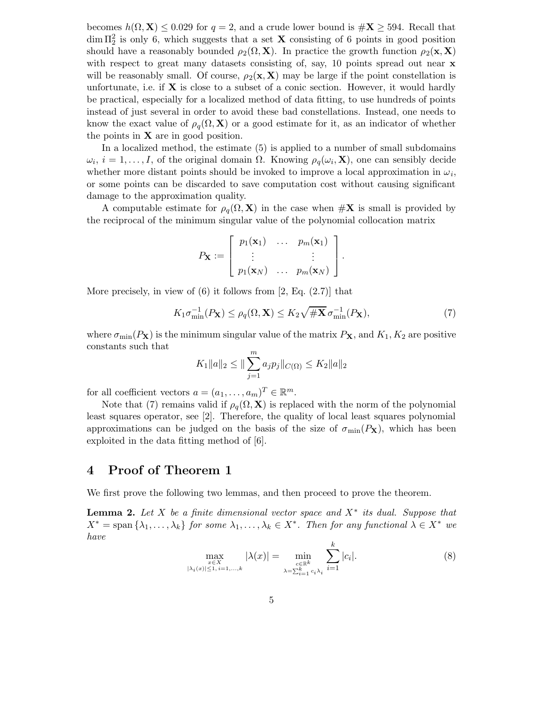becomes  $h(\Omega, \mathbf{X}) \leq 0.029$  for  $q = 2$ , and a crude lower bound is  $\#\mathbf{X} \geq 594$ . Recall that  $\dim \Pi_2^2$  is only 6, which suggests that a set **X** consisting of 6 points in good position should have a reasonably bounded  $\rho_2(\Omega, \mathbf{X})$ . In practice the growth function  $\rho_2(\mathbf{x}, \mathbf{X})$ with respect to great many datasets consisting of, say, 10 points spread out near **x** will be reasonably small. Of course,  $\rho_2(\mathbf{x}, \mathbf{X})$  may be large if the point constellation is unfortunate, i.e. if  $X$  is close to a subset of a conic section. However, it would hardly be practical, especially for a localized method of data fitting, to use hundreds of points instead of just several in order to avoid these bad constellations. Instead, one needs to know the exact value of  $\rho_q(\Omega, \mathbf{X})$  or a good estimate for it, as an indicator of whether the points in  $X$  are in good position.

In a localized method, the estimate (5) is applied to a number of small subdomains  $\omega_i$ ,  $i = 1, \ldots, I$ , of the original domain  $\Omega$ . Knowing  $\rho_q(\omega_i, \mathbf{X})$ , one can sensibly decide whether more distant points should be invoked to improve a local approximation in  $\omega_i$ , or some points can be discarded to save computation cost without causing significant damage to the approximation quality.

A computable estimate for  $\rho_q(\Omega, \mathbf{X})$  in the case when  $\#\mathbf{X}$  is small is provided by the reciprocal of the minimum singular value of the polynomial collocation matrix

$$
P_{\mathbf{X}} := \left[ \begin{array}{ccc} p_1(\mathbf{x}_1) & \dots & p_m(\mathbf{x}_1) \\ \vdots & & \vdots \\ p_1(\mathbf{x}_N) & \dots & p_m(\mathbf{x}_N) \end{array} \right].
$$

More precisely, in view of  $(6)$  it follows from [2, Eq.  $(2.7)$ ] that

$$
K_1 \sigma_{\min}^{-1}(P_\mathbf{X}) \le \rho_q(\Omega, \mathbf{X}) \le K_2 \sqrt{\# \mathbf{X}} \sigma_{\min}^{-1}(P_\mathbf{X}),\tag{7}
$$

where  $\sigma_{\min}(P_{\mathbf{X}})$  is the minimum singular value of the matrix  $P_{\mathbf{X}}$ , and  $K_1, K_2$  are positive constants such that

$$
K_1||a||_2 \le ||\sum_{j=1}^m a_j p_j||_{C(\Omega)} \le K_2||a||_2
$$

for all coefficient vectors  $a = (a_1, \ldots, a_m)^T \in \mathbb{R}^m$ .

Note that (7) remains valid if  $\rho_q(\Omega, \mathbf{X})$  is replaced with the norm of the polynomial least squares operator, see [2]. Therefore, the quality of local least squares polynomial approximations can be judged on the basis of the size of  $\sigma_{\min}(P_X)$ , which has been exploited in the data fitting method of [6].

# 4 Proof of Theorem 1

We first prove the following two lemmas, and then proceed to prove the theorem.

**Lemma 2.** Let X be a finite dimensional vector space and  $X^*$  its dual. Suppose that  $X^* = \text{span} \{ \lambda_1, \ldots, \lambda_k \}$  for some  $\lambda_1, \ldots, \lambda_k \in X^*$ . Then for any functional  $\lambda \in X^*$  we have k

$$
\max_{\substack{x \in X \\ |\lambda_i(x)| \le 1, i=1,\dots,k}} |\lambda(x)| = \min_{\substack{c \in \mathbb{R}^k \\ \lambda = \sum_{i=1}^k c_i \lambda_i}} \sum_{i=1}^k |c_i|. \tag{8}
$$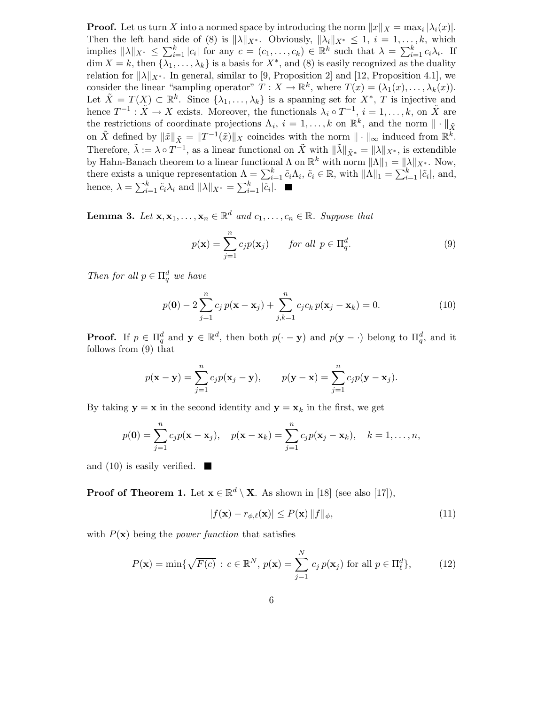**Proof.** Let us turn X into a normed space by introducing the norm  $||x||_X = \max_i |\lambda_i(x)|$ . Then the left hand side of (8) is  $\|\lambda\|_{X^*}$ . Obviously,  $\|\lambda_i\|_{X^*} \leq 1$ ,  $i = 1, \ldots, k$ , which implies  $\|\lambda\|_{X^*} \leq \sum_{i=1}^k |c_i|$  for any  $c = (c_1, \ldots, c_k) \in \mathbb{R}^k$  such that  $\lambda = \sum_{i=1}^k c_i \lambda_i$ . If  $\dim X = k$ , then  $\{\lambda_1, \ldots, \lambda_k\}$  is a basis for  $X^*$ , and  $(8)$  is easily recognized as the duality relation for  $\|\lambda\|_{X^*}$ . In general, similar to [9, Proposition 2] and [12, Proposition 4.1], we consider the linear "sampling operator"  $T : X \to \mathbb{R}^k$ , where  $T(x) = (\lambda_1(x), \dots, \lambda_k(x))$ . Let  $\tilde{X} = T(X) \subset \mathbb{R}^k$ . Since  $\{\lambda_1, \ldots, \lambda_k\}$  is a spanning set for  $X^*$ , T is injective and hence  $T^{-1}$ :  $\tilde{X} \to X$  exists. Moreover, the functionals  $\lambda_i \circ T^{-1}$ ,  $i = 1, \ldots, k$ , on  $\tilde{X}$  are the restrictions of coordinate projections  $\Lambda_i$ ,  $i = 1, ..., k$  on  $\mathbb{R}^k$ , and the norm  $\|\cdot\|_{\tilde{X}}$ on  $\tilde{X}$  defined by  $\|\tilde{x}\|_{\tilde{X}} = \|T^{-1}(\tilde{x})\|_{X}$  coincides with the norm  $\|\cdot\|_{\infty}$  induced from  $\mathbb{R}^{\tilde{k}}$ . Therefore,  $\tilde{\lambda} := \lambda \circ T^{-1}$ , as a linear functional on  $\tilde{X}$  with  $\|\tilde{\lambda}\|_{\tilde{X}^*} = \|\lambda\|_{X^*}$ , is extendible by Hahn-Banach theorem to a linear functional  $\Lambda$  on  $\mathbb{R}^k$  with norm  $\|\Lambda\|_1 = \|\lambda\|_{X^*}$ . Now, there exists a unique representation  $\Lambda = \sum_{i=1}^k \tilde{c}_i \Lambda_i$ ,  $\tilde{c}_i \in \mathbb{R}$ , with  $\|\Lambda\|_1 = \sum_{i=1}^k |\tilde{c}_i|$ , and, hence,  $\lambda = \sum_{i=1}^{k} \tilde{c}_i \lambda_i$  and  $\|\lambda\|_{X^*} = \sum_{i=1}^{k} |\tilde{c}_i|$ .

**Lemma 3.** Let  $\mathbf{x}, \mathbf{x}_1, \ldots, \mathbf{x}_n \in \mathbb{R}^d$  and  $c_1, \ldots, c_n \in \mathbb{R}$ . Suppose that

$$
p(\mathbf{x}) = \sum_{j=1}^{n} c_j p(\mathbf{x}_j) \qquad \text{for all } p \in \Pi_q^d.
$$
 (9)

Then for all  $p \in \Pi_q^d$  we have

$$
p(\mathbf{0}) - 2\sum_{j=1}^{n} c_j p(\mathbf{x} - \mathbf{x}_j) + \sum_{j,k=1}^{n} c_j c_k p(\mathbf{x}_j - \mathbf{x}_k) = 0.
$$
 (10)

**Proof.** If  $p \in \Pi_q^d$  and  $\mathbf{y} \in \mathbb{R}^d$ , then both  $p(\cdot - \mathbf{y})$  and  $p(\mathbf{y} - \cdot)$  belong to  $\Pi_q^d$ , and it follows from (9) that

$$
p(\mathbf{x} - \mathbf{y}) = \sum_{j=1}^{n} c_j p(\mathbf{x}_j - \mathbf{y}), \qquad p(\mathbf{y} - \mathbf{x}) = \sum_{j=1}^{n} c_j p(\mathbf{y} - \mathbf{x}_j).
$$

By taking  $y = x$  in the second identity and  $y = x_k$  in the first, we get

$$
p(\mathbf{0}) = \sum_{j=1}^{n} c_j p(\mathbf{x} - \mathbf{x}_j), \quad p(\mathbf{x} - \mathbf{x}_k) = \sum_{j=1}^{n} c_j p(\mathbf{x}_j - \mathbf{x}_k), \quad k = 1, \dots, n,
$$

and (10) is easily verified.  $\blacksquare$ 

**Proof of Theorem 1.** Let  $\mathbf{x} \in \mathbb{R}^d \setminus \mathbf{X}$ . As shown in [18] (see also [17]),

$$
|f(\mathbf{x}) - r_{\phi,\ell}(\mathbf{x})| \le P(\mathbf{x}) \|f\|_{\phi},\tag{11}
$$

with  $P(x)$  being the *power function* that satisfies

$$
P(\mathbf{x}) = \min\{\sqrt{F(c)} : c \in \mathbb{R}^N, p(\mathbf{x}) = \sum_{j=1}^N c_j p(\mathbf{x}_j) \text{ for all } p \in \Pi_\ell^d\},\qquad(12)
$$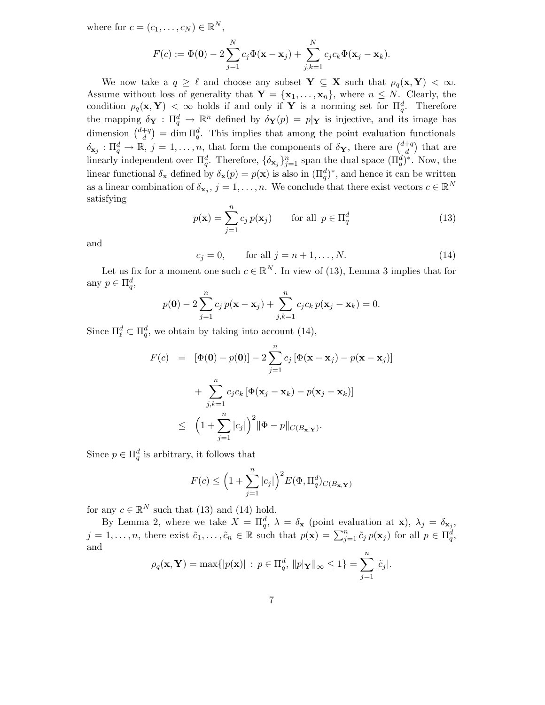where for  $c = (c_1, \ldots, c_N) \in \mathbb{R}^N$ ,

$$
F(c) := \Phi(\mathbf{0}) - 2\sum_{j=1}^N c_j \Phi(\mathbf{x} - \mathbf{x}_j) + \sum_{j,k=1}^N c_j c_k \Phi(\mathbf{x}_j - \mathbf{x}_k).
$$

We now take a  $q \geq \ell$  and choose any subset  $Y \subseteq X$  such that  $\rho_q(x, Y) < \infty$ . Assume without loss of generality that  $\mathbf{Y} = {\mathbf{x}_1, \dots, \mathbf{x}_n}$ , where  $n \leq N$ . Clearly, the condition  $\rho_q(\mathbf{x}, \mathbf{Y}) < \infty$  holds if and only if **Y** is a norming set for  $\Pi_q^d$ . Therefore the mapping  $\delta_Y : \Pi_q^d \to \mathbb{R}^n$  defined by  $\delta_Y(p) = p|_Y$  is injective, and its image has dimension  $\binom{d+q}{d}$  $\binom{+q}{d}$  = dim  $\Pi_q^d$ . This implies that among the point evaluation functionals  $\delta_{\mathbf{x}_j} : \Pi_q^d \to \mathbb{R}, j = 1, \ldots, n$ , that form the components of  $\delta_{\mathbf{Y}}$ , there are  $\binom{d+q}{d}$  $\binom{+q}{d}$  that are linearly independent over  $\Pi_q^d$ . Therefore,  $\{\delta_{\mathbf{x}_j}\}_{j=1}^n$  span the dual space  $(\Pi_q^d)^*$ . Now, the linear functional  $\delta_{\mathbf{x}}$  defined by  $\delta_{\mathbf{x}}(p) = p(\mathbf{x})$  is also in  $(\Pi_q^d)^*$ , and hence it can be written as a linear combination of  $\delta_{\mathbf{x}_j}$ ,  $j = 1, \ldots, n$ . We conclude that there exist vectors  $c \in \mathbb{R}^N$ satisfying

$$
p(\mathbf{x}) = \sum_{j=1}^{n} c_j p(\mathbf{x}_j) \quad \text{for all } p \in \Pi_q^d \tag{13}
$$

and

$$
c_j = 0,
$$
 for all  $j = n + 1, ..., N.$  (14)

Let us fix for a moment one such  $c \in \mathbb{R}^N$ . In view of (13), Lemma 3 implies that for any  $p \in \Pi_q^d$ ,

$$
p(\mathbf{0}) - 2\sum_{j=1}^{n} c_j p(\mathbf{x} - \mathbf{x}_j) + \sum_{j,k=1}^{n} c_j c_k p(\mathbf{x}_j - \mathbf{x}_k) = 0.
$$

Since  $\Pi_{\ell}^d \subset \Pi_q^d$ , we obtain by taking into account (14),

$$
F(c) = [\Phi(\mathbf{0}) - p(\mathbf{0})] - 2 \sum_{j=1}^{n} c_j [\Phi(\mathbf{x} - \mathbf{x}_j) - p(\mathbf{x} - \mathbf{x}_j)]
$$
  
+ 
$$
\sum_{j,k=1}^{n} c_j c_k [\Phi(\mathbf{x}_j - \mathbf{x}_k) - p(\mathbf{x}_j - \mathbf{x}_k)]
$$
  

$$
\leq (1 + \sum_{j=1}^{n} |c_j|)^2 ||\Phi - p||_{C(B_{\mathbf{x},\mathbf{Y}})}.
$$

Since  $p \in \Pi_q^d$  is arbitrary, it follows that

$$
F(c) \le \left(1 + \sum_{j=1}^{n} |c_j|\right)^2 E(\Phi, \Pi_q^d)_{C(B_{\mathbf{x},\mathbf{Y}})}
$$

for any  $c \in \mathbb{R}^N$  such that (13) and (14) hold.

By Lemma 2, where we take  $X = \Pi_q^d$ ,  $\lambda = \delta_{\mathbf{x}}$  (point evaluation at  $\mathbf{x}$ ),  $\lambda_j = \delta_{\mathbf{x}_j}$ ,  $j = 1, \ldots, n$ , there exist  $\tilde{c}_1, \ldots, \tilde{c}_n \in \mathbb{R}$  such that  $p(\mathbf{x}) = \sum_{j=1}^n \tilde{c}_j p(\mathbf{x}_j)$  for all  $p \in \Pi_q^d$ , and

$$
\rho_q(\mathbf{x}, \mathbf{Y}) = \max\{|p(\mathbf{x})| : p \in \Pi_q^d, ||p|\mathbf{Y}||_{\infty} \le 1\} = \sum_{j=1}^n |\tilde{c}_j|.
$$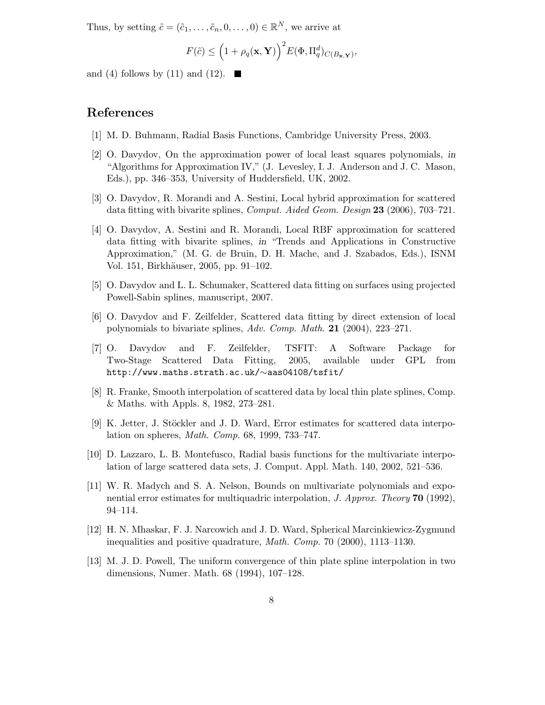Thus, by setting  $\tilde{c} = (\tilde{c}_1, \ldots, \tilde{c}_n, 0, \ldots, 0) \in \mathbb{R}^N$ , we arrive at

$$
F(\tilde{c}) \leq \left(1 + \rho_q(\mathbf{x}, \mathbf{Y})\right)^2 E(\Phi, \Pi_q^d)_{C(B_{\mathbf{x}, \mathbf{Y}})},
$$

and (4) follows by (11) and (12).  $\blacksquare$ 

# References

- [1] M. D. Buhmann, Radial Basis Functions, Cambridge University Press, 2003.
- [2] O. Davydov, On the approximation power of local least squares polynomials, in "Algorithms for Approximation IV," (J. Levesley, I. J. Anderson and J. C. Mason, Eds.), pp. 346–353, University of Huddersfield, UK, 2002.
- [3] O. Davydov, R. Morandi and A. Sestini, Local hybrid approximation for scattered data fitting with bivarite splines, *Comput. Aided Geom. Design* 23 (2006), 703–721.
- [4] O. Davydov, A. Sestini and R. Morandi, Local RBF approximation for scattered data fitting with bivarite splines, in "Trends and Applications in Constructive Approximation," (M. G. de Bruin, D. H. Mache, and J. Szabados, Eds.), ISNM Vol. 151, Birkhäuser, 2005, pp. 91–102.
- [5] O. Davydov and L. L. Schumaker, Scattered data fitting on surfaces using projected Powell-Sabin splines, manuscript, 2007.
- [6] O. Davydov and F. Zeilfelder, Scattered data fitting by direct extension of local polynomials to bivariate splines, Adv. Comp. Math. 21 (2004), 223–271.
- [7] O. Davydov and F. Zeilfelder, TSFIT: A Software Package for Two-Stage Scattered Data Fitting, 2005, available under GPL from http://www.maths.strath.ac.uk/∼aas04108/tsfit/
- [8] R. Franke, Smooth interpolation of scattered data by local thin plate splines, Comp. & Maths. with Appls. 8, 1982, 273–281.
- [9] K. Jetter, J. Stöckler and J. D. Ward, Error estimates for scattered data interpolation on spheres, Math. Comp. 68, 1999, 733–747.
- [10] D. Lazzaro, L. B. Montefusco, Radial basis functions for the multivariate interpolation of large scattered data sets, J. Comput. Appl. Math. 140, 2002, 521–536.
- [11] W. R. Madych and S. A. Nelson, Bounds on multivariate polynomials and exponential error estimates for multiquadric interpolation, J. Approx. Theory 70 (1992), 94–114.
- [12] H. N. Mhaskar, F. J. Narcowich and J. D. Ward, Spherical Marcinkiewicz-Zygmund inequalities and positive quadrature, Math. Comp. 70 (2000), 1113–1130.
- [13] M. J. D. Powell, The uniform convergence of thin plate spline interpolation in two dimensions, Numer. Math. 68 (1994), 107–128.